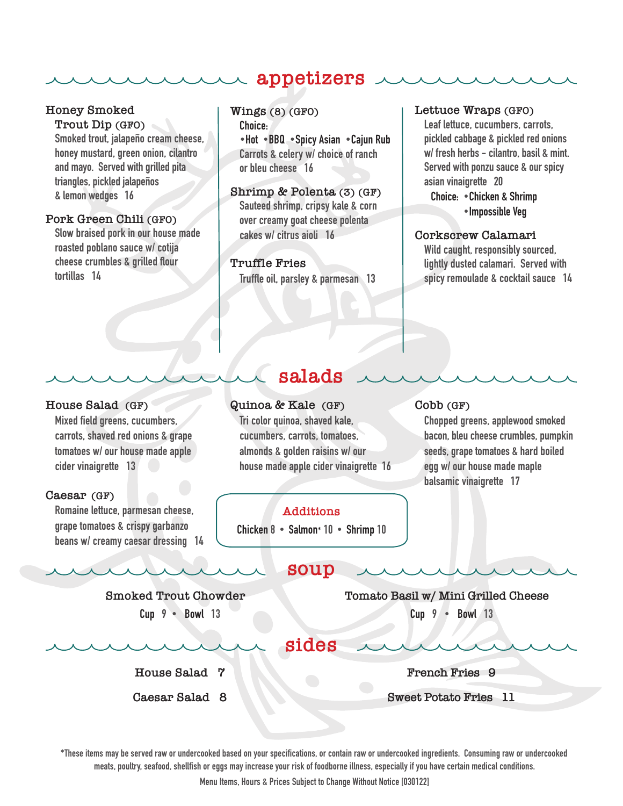# **appetizers**

## **Honey Smoked**

**Trout Dip (GFO)**

Smoked trout, jalapeño cream cheese, honey mustard, green onion, cilantro and mayo. Served with grilled pita triangles, pickled jalapeños & lemon wedges 16

#### **Pork Green Chili (GFO)**

Slow braised pork in our house made roasted poblano sauce w/ cotija cheese crumbles & grilled flour tortillas 14

### **Wings (8) (GFO)** Choice: •Hot •BBQ •Spicy Asian •Cajun Rub Carrots & celery w/ choice of ranch or bleu cheese 16

**Shrimp & Polenta (3) (GF)** Sauteed shrimp, cripsy kale & corn over creamy goat cheese polenta cakes w/ citrus aioli 16

## **Truffle Fries**

wu

Truffle oil, parsley & parmesan 13

#### **Lettuce Wraps (GFO)**

Leaf lettuce, cucumbers, carrots, pickled cabbage & pickled red onions w/ fresh herbs - cilantro, basil & mint. Served with ponzu sauce & our spicy asian vinaigrette 20 Choice: •Chicken & Shrimp

•Impossible Veg

#### **Corkscrew Calamari**

Wild caught, responsibly sourced, lightly dusted calamari. Served with spicy remoulade & cocktail sauce 14

#### **House Salad (GF)**

Mixed field greens, cucumbers, carrots, shaved red onions & grape tomatoes w/ our house made apple cider vinaigrette 13

#### **Caesar (GF)**

Romaine lettuce, parmesan cheese, grape tomatoes & crispy garbanzo beans w/ creamy caesar dressing 14

## **Quinoa & Kale (GF)**

Tri color quinoa, shaved kale, cucumbers, carrots, tomatoes, almonds & golden raisins w/ our house made apple cider vinaigrette 16

**salads**

## **Cobb (GF)**

Chopped greens, applewood smoked bacon, bleu cheese crumbles, pumpkin seeds, grape tomatoes & hard boiled egg w/ our house made maple balsamic vinaigrette 17

#### **Additions**

Chicken 8 • Salmon\* 10 • Shrimp 10

## **soup**

**Smoked Trout Chowder**  Cup  $9 \cdot$  Bowl 13

**Tomato Basil w/ Mini Grilled Cheese** Cup 9 • Bowl 13

**sides**

 **House Salad 7**

**Caesar Salad 8**

**French Fries 9**

**Sweet Potato Fries 11**

\*These items may be served raw or undercooked based on your specifications, or contain raw or undercooked ingredients. Consuming raw or undercooked meats, poultry, seafood, shellfish or eggs may increase your risk of foodborne illness, especially if you have certain medical conditions.

Menu Items, Hours & Prices Subject to Change Without Notice [030122]